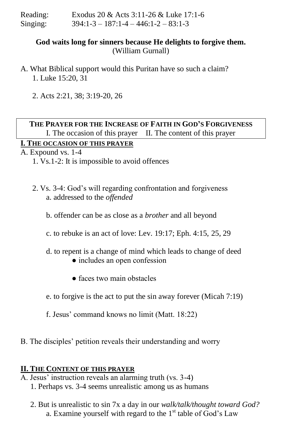| Reading: | Exodus 20 & Acts 3:11-26 & Luke 17:1-6         |
|----------|------------------------------------------------|
| Singing: | $394:1 - 3 - 187:1 - 4 - 446:1 - 2 - 83:1 - 3$ |

## **God waits long for sinners because He delights to forgive them.** (William Gurnall)

- A. What Biblical support would this Puritan have so such a claim? 1. Luke 15:20, 31
	- 2. Acts 2:21, 38; 3:19-20, 26

## **THE PRAYER FOR THE INCREASE OF FAITH IN GOD'S FORGIVENESS** I. The occasion of this prayer II. The content of this prayer

# **I. THE OCCASION OF THIS PRAYER**

A. Expound vs. 1-4

- 1. Vs.1-2: It is impossible to avoid offences
- 2. Vs. 3-4: God's will regarding confrontation and forgiveness a. addressed to the *offended* 
	- b. offender can be as close as a *brother* and all beyond
	- c. to rebuke is an act of love: Lev. 19:17; Eph. 4:15, 25, 29
	- d. to repent is a change of mind which leads to change of deed
		- includes an open confession
		- faces two main obstacles
	- e. to forgive is the act to put the sin away forever (Micah 7:19)
	- f. Jesus' command knows no limit (Matt. 18:22)
- B. The disciples' petition reveals their understanding and worry

#### **II. THE CONTENT OF THIS PRAYER**

- A. Jesus' instruction reveals an alarming truth (vs. 3-4)
	- 1. Perhaps vs. 3-4 seems unrealistic among us as humans
	- 2. But is unrealistic to sin 7x a day in our *walk/talk/thought toward God?*  a. Examine yourself with regard to the  $1<sup>st</sup>$  table of God's Law